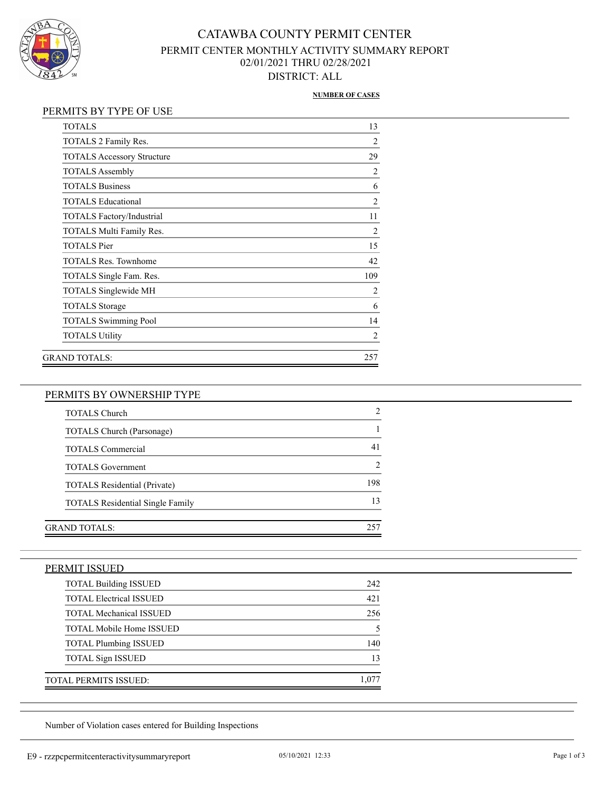

## CATAWBA COUNTY PERMIT CENTER PERMIT CENTER MONTHLY ACTIVITY SUMMARY REPORT 02/01/2021 THRU 02/28/2021 DISTRICT: ALL

#### **NUMBER OF CASES**

| <b>TOTALS</b>                     | 13             |
|-----------------------------------|----------------|
| TOTALS 2 Family Res.              | $\overline{2}$ |
| <b>TOTALS Accessory Structure</b> | 29             |
| <b>TOTALS Assembly</b>            | $\overline{2}$ |
| <b>TOTALS Business</b>            | 6              |
| <b>TOTALS Educational</b>         | $\overline{2}$ |
| <b>TOTALS Factory/Industrial</b>  | 11             |
| TOTALS Multi Family Res.          | $\overline{2}$ |
| <b>TOTALS</b> Pier                | 15             |
| <b>TOTALS Res. Townhome</b>       | 42             |
| TOTALS Single Fam. Res.           | 109            |
| TOTALS Singlewide MH              | $\overline{c}$ |
| <b>TOTALS</b> Storage             | 6              |
| <b>TOTALS Swimming Pool</b>       | 14             |
| <b>TOTALS Utility</b>             | $\overline{2}$ |
| GRAND TOTALS:                     | 257            |
|                                   |                |

#### PERMITS BY OWNERSHIP TYPE

| <b>TOTALS Church</b>                    |     |
|-----------------------------------------|-----|
| TOTALS Church (Parsonage)               |     |
| <b>TOTALS</b> Commercial                | 41  |
| <b>TOTALS</b> Government                |     |
| <b>TOTALS Residential (Private)</b>     | 198 |
| <b>TOTALS</b> Residential Single Family | 13  |
| GRAND TOTALS:                           | 257 |
|                                         |     |

### PERMIT ISSUED

| <b>TOTAL Building ISSUED</b>    | 242 |
|---------------------------------|-----|
| <b>TOTAL Electrical ISSUED</b>  | 421 |
| <b>TOTAL Mechanical ISSUED</b>  | 256 |
| <b>TOTAL Mobile Home ISSUED</b> |     |
| <b>TOTAL Plumbing ISSUED</b>    | 140 |
| <b>TOTAL Sign ISSUED</b>        | 13  |
| TOTAL PERMITS ISSUED:           |     |

Number of Violation cases entered for Building Inspections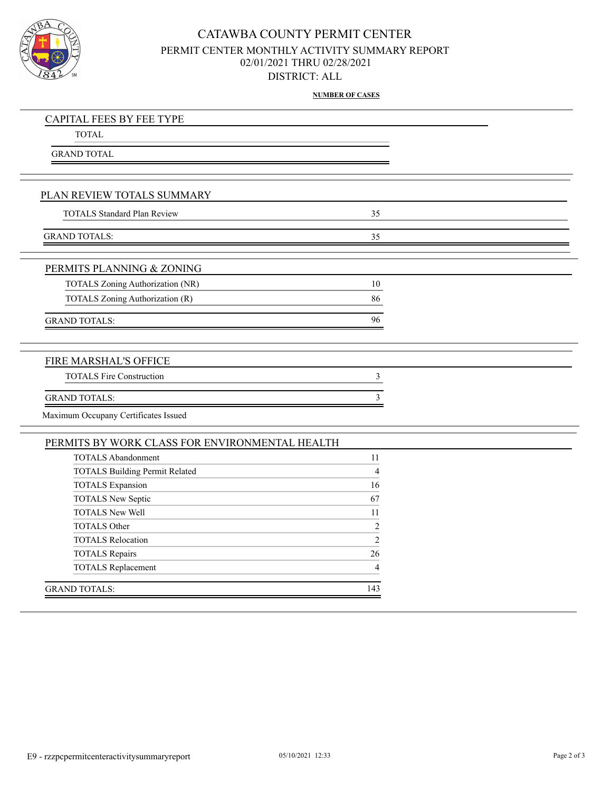

### CATAWBA COUNTY PERMIT CENTER PERMIT CENTER MONTHLY ACTIVITY SUMMARY REPORT 02/01/2021 THRU 02/28/2021 DISTRICT: ALL

**NUMBER OF CASES**

| CAPITAL FEES BY FEE TYPE                       |                |  |
|------------------------------------------------|----------------|--|
| <b>TOTAL</b>                                   |                |  |
| <b>GRAND TOTAL</b>                             |                |  |
|                                                |                |  |
|                                                |                |  |
| PLAN REVIEW TOTALS SUMMARY                     |                |  |
| <b>TOTALS Standard Plan Review</b>             | 35             |  |
| <b>GRAND TOTALS:</b>                           | 35             |  |
|                                                |                |  |
| PERMITS PLANNING & ZONING                      |                |  |
| TOTALS Zoning Authorization (NR)               | 10             |  |
| TOTALS Zoning Authorization (R)                | 86             |  |
| <b>GRAND TOTALS:</b>                           | 96             |  |
|                                                |                |  |
|                                                |                |  |
| FIRE MARSHAL'S OFFICE                          |                |  |
| <b>TOTALS Fire Construction</b>                | 3              |  |
| <b>GRAND TOTALS:</b>                           | 3              |  |
| Maximum Occupany Certificates Issued           |                |  |
| PERMITS BY WORK CLASS FOR ENVIRONMENTAL HEALTH |                |  |
| <b>TOTALS Abandonment</b>                      | 11             |  |
| <b>TOTALS Building Permit Related</b>          | $\overline{4}$ |  |
| <b>TOTALS</b> Expansion                        | 16             |  |
| TOTALS New Septic                              | 67             |  |
| <b>TOTALS New Well</b>                         | 11             |  |
| <b>TOTALS Other</b>                            | $\mathfrak{2}$ |  |
| <b>TOTALS Relocation</b>                       | $\mathfrak{2}$ |  |
| <b>TOTALS Repairs</b>                          | 26             |  |
| <b>TOTALS Replacement</b>                      | $\overline{4}$ |  |
| <b>GRAND TOTALS:</b>                           | 143            |  |